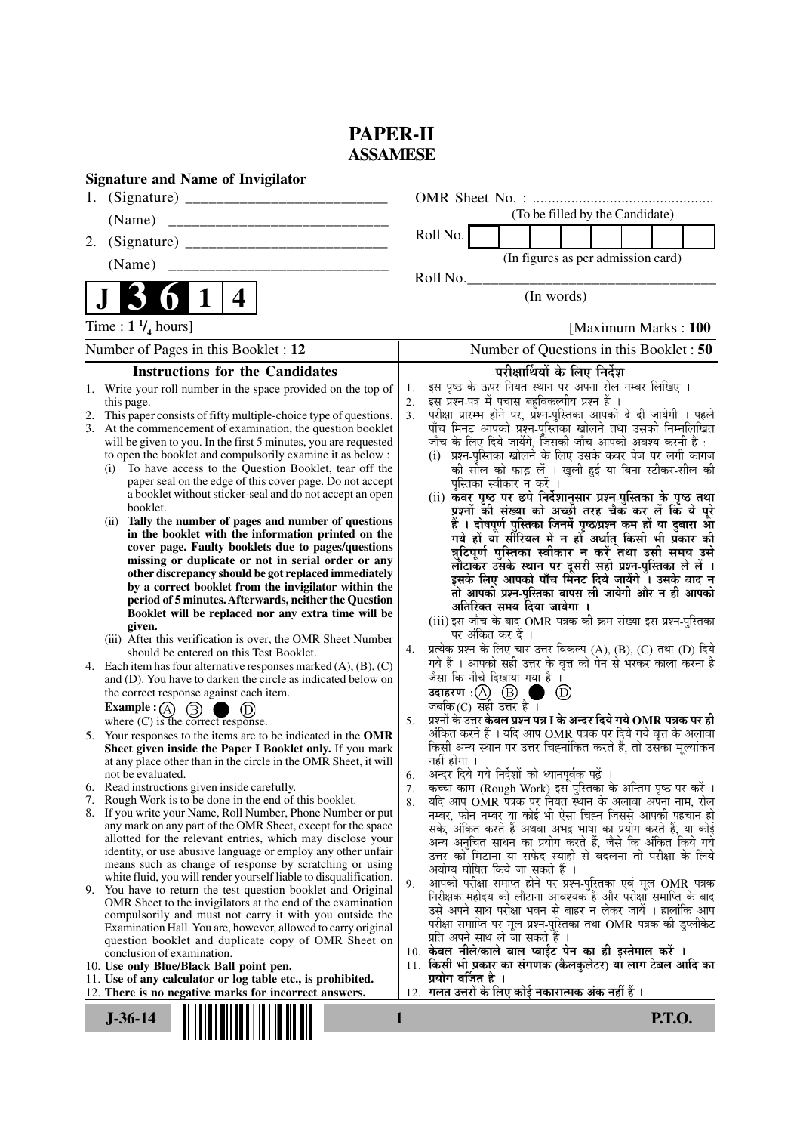## **PAPER-II ASSAMESE**

| <b>Signature and Name of Invigilator</b>                                                                                             |                                                                                                                                     |  |  |  |  |  |  |  |  |  |
|--------------------------------------------------------------------------------------------------------------------------------------|-------------------------------------------------------------------------------------------------------------------------------------|--|--|--|--|--|--|--|--|--|
| 1.                                                                                                                                   |                                                                                                                                     |  |  |  |  |  |  |  |  |  |
| (Name)                                                                                                                               | (To be filled by the Candidate)                                                                                                     |  |  |  |  |  |  |  |  |  |
| 2.                                                                                                                                   | Roll No.                                                                                                                            |  |  |  |  |  |  |  |  |  |
|                                                                                                                                      | (In figures as per admission card)                                                                                                  |  |  |  |  |  |  |  |  |  |
|                                                                                                                                      | Roll No.                                                                                                                            |  |  |  |  |  |  |  |  |  |
| $\mathbf{1}$<br>4                                                                                                                    | (In words)                                                                                                                          |  |  |  |  |  |  |  |  |  |
| Time : $1 \frac{1}{4}$ hours]                                                                                                        | [Maximum Marks: 100]                                                                                                                |  |  |  |  |  |  |  |  |  |
| Number of Pages in this Booklet : 12                                                                                                 | Number of Questions in this Booklet: 50                                                                                             |  |  |  |  |  |  |  |  |  |
| <b>Instructions for the Candidates</b>                                                                                               | परीक्षार्थियों के लिए निर्देश                                                                                                       |  |  |  |  |  |  |  |  |  |
| 1. Write your roll number in the space provided on the top of                                                                        | इस पृष्ठ के ऊपर नियत स्थान पर अपना रोल नम्बर लिखिए ।<br>1.                                                                          |  |  |  |  |  |  |  |  |  |
| this page.<br>This paper consists of fifty multiple-choice type of questions.<br>2.                                                  | इस प्रश्न-पत्र में पचास बहुविकल्पीय प्रश्न हैं ।<br>2.<br>परीक्षा प्रारम्भ होने पर, प्रश्न-पुस्तिका आपको दे दी जायेगी । पहले<br>3.  |  |  |  |  |  |  |  |  |  |
| 3. At the commencement of examination, the question booklet                                                                          | पाँच मिनट आपको प्रश्न-पुस्तिका खोलने तथा उसकी निम्नलिखित                                                                            |  |  |  |  |  |  |  |  |  |
| will be given to you. In the first 5 minutes, you are requested                                                                      | जाँच के लिए दिये जायेंगे, जिसकी जाँच आपको अवश्य करनी है :                                                                           |  |  |  |  |  |  |  |  |  |
| to open the booklet and compulsorily examine it as below :<br>To have access to the Question Booklet, tear off the<br>(i)            | (i) प्रश्न-पुस्तिका खोलने के लिए उसके कवर पेज पर लगी कागज<br>की सील को फाड़ लें । खुली हुई या बिना स्टीकर-सील की                    |  |  |  |  |  |  |  |  |  |
| paper seal on the edge of this cover page. Do not accept                                                                             | पुस्तिका स्वीकार न करें ।                                                                                                           |  |  |  |  |  |  |  |  |  |
| a booklet without sticker-seal and do not accept an open<br>booklet.                                                                 | (ii) कवर पृष्ठ पर छपे निर्देशानुसार प्रश्न-पुस्तिका के पृष्ठ तथा<br>प्रश्नों की संख्या को अच्छी तरह चैक कर लें कि ये पूरे           |  |  |  |  |  |  |  |  |  |
| Tally the number of pages and number of questions<br>(i)                                                                             | हैं । दोषपूर्ण पुस्तिका जिनमें पृष्ठ/प्रश्न कम हों या दुबारा आ                                                                      |  |  |  |  |  |  |  |  |  |
| in the booklet with the information printed on the<br>cover page. Faulty booklets due to pages/questions                             | गये हों या सीरियल में न हों अर्थात् किसी भी प्रकार की                                                                               |  |  |  |  |  |  |  |  |  |
| missing or duplicate or not in serial order or any                                                                                   | त्रुटिपूर्ण पुस्तिका स्वीकार न करें तथा उसी समय उसे                                                                                 |  |  |  |  |  |  |  |  |  |
| other discrepancy should be got replaced immediately                                                                                 | लौटाकर उसके स्थान पर दूसरी सही प्रश्न-पुस्तिका ले लें ।<br>इसके लिए आपको पाँच मिनट दिये जायेंगे । उसके बाद न                        |  |  |  |  |  |  |  |  |  |
| by a correct booklet from the invigilator within the<br>period of 5 minutes. Afterwards, neither the Question                        | तो आपकी प्रश्न-पुस्तिका वापस ली जायेगी और न ही आपको                                                                                 |  |  |  |  |  |  |  |  |  |
| Booklet will be replaced nor any extra time will be                                                                                  | अतिरिक्त समय दिया जायेगा ।<br>(iii) इस जाँच के बाद OMR पत्रक की क्रम संख्या इस प्रश्न-पुस्तिका                                      |  |  |  |  |  |  |  |  |  |
| given.                                                                                                                               | पर अंकित कर दें ।                                                                                                                   |  |  |  |  |  |  |  |  |  |
| (iii) After this verification is over, the OMR Sheet Number<br>should be entered on this Test Booklet.                               | प्रत्येक प्रश्न के लिए चार उत्तर विकल्प (A), (B), (C) तथा (D) दिये<br>4.                                                            |  |  |  |  |  |  |  |  |  |
| 4. Each item has four alternative responses marked $(A)$ , $(B)$ , $(C)$                                                             | गये हैं । आपको सही उत्तर के वृत्त को पेन से भरकर काला करना है                                                                       |  |  |  |  |  |  |  |  |  |
| and (D). You have to darken the circle as indicated below on<br>the correct response against each item.                              | जैसा कि नीचे दिखाया गया है ।<br>उदाहरण $\cdot$ $\circ$ $\circ$ $\circ$ $\circ$<br>$\circled{D}$                                     |  |  |  |  |  |  |  |  |  |
| Example : $(A)$ $(B)$                                                                                                                | जबकि(C) सही उत्तर है।                                                                                                               |  |  |  |  |  |  |  |  |  |
| where (C) is the correct response.                                                                                                   | प्रश्नों के उत्तर <b>केवल प्रश्न पत्र I के अन्दर दिये गये OMR पत्रक पर ही</b><br>5.                                                 |  |  |  |  |  |  |  |  |  |
| 5. Your responses to the items are to be indicated in the OMR                                                                        | अंकित करने हैं । यदि आप OMR पत्रक पर दिये गये वृत्त के अलावा<br>किसी अन्य स्थान पर उत्तर चिह्नांकित करते हैं, तो उसका मुल्यांकन     |  |  |  |  |  |  |  |  |  |
| Sheet given inside the Paper I Booklet only. If you mark<br>at any place other than in the circle in the OMR Sheet, it will          | नहीं होगा ।                                                                                                                         |  |  |  |  |  |  |  |  |  |
| not be evaluated.                                                                                                                    | अन्दर दिये गये निर्देशों को ध्यानपूर्वक पढ़ें ।<br>6.                                                                               |  |  |  |  |  |  |  |  |  |
| 6. Read instructions given inside carefully.<br>Rough Work is to be done in the end of this booklet.<br>7.                           | कच्चा काम (Rough Work) इस पुस्तिका के अन्तिम पृष्ठ पर करें ।<br>7.<br>र्याद आप OMR पत्रक पर नियत स्थान के अलावा अपना नाम, रोल<br>8. |  |  |  |  |  |  |  |  |  |
| 8. If you write your Name, Roll Number, Phone Number or put                                                                          | नम्बर, फोन नम्बर या कोई भी ऐसा चिह्न जिससे आपकी पहचान हो                                                                            |  |  |  |  |  |  |  |  |  |
| any mark on any part of the OMR Sheet, except for the space                                                                          | सके, अंकित करते हैं अथवा अभद्र भाषा का प्रयोग करते हैं, या कोई                                                                      |  |  |  |  |  |  |  |  |  |
| allotted for the relevant entries, which may disclose your<br>identity, or use abusive language or employ any other unfair           | अन्य अनुचित साधन का प्रयोग करते हैं, जैसे कि अंकित किये गये<br>उत्तर को मिटाना या सफेद स्याही से बदलना तो परीक्षा के लिये           |  |  |  |  |  |  |  |  |  |
| means such as change of response by scratching or using                                                                              | अयोग्य घोषित किये जा सकते हैं ।                                                                                                     |  |  |  |  |  |  |  |  |  |
| white fluid, you will render yourself liable to disqualification.<br>You have to return the test question booklet and Original<br>9. | आपको परीक्षा समाप्त होने पर प्रश्न-पुस्तिका एवं मूल OMR पत्रक<br>9.                                                                 |  |  |  |  |  |  |  |  |  |
| OMR Sheet to the invigilators at the end of the examination                                                                          | निरीक्षक महोदय को लौटाना आवश्यक है और परीक्षा समाप्ति के बाद<br>उसे अपने साथ परीक्षा भवन से बाहर न लेकर जायें । हालांकि आप          |  |  |  |  |  |  |  |  |  |
| compulsorily and must not carry it with you outside the<br>Examination Hall. You are, however, allowed to carry original             | परीक्षा समाप्ति पर मूल प्रश्न-पुस्तिका तथा OMR पत्रक की डुप्लीकेट                                                                   |  |  |  |  |  |  |  |  |  |
| question booklet and duplicate copy of OMR Sheet on                                                                                  | प्रति अपने साथ ले जा सकते हैं ।                                                                                                     |  |  |  |  |  |  |  |  |  |
| conclusion of examination.                                                                                                           | 10. केवल नीले/काले बाल प्वाईट पेन का ही इस्तेमाल करें ।<br>11. किसी भी प्रकार का संगणक (कैलकुलेटर) या लाग टेबल आदि का               |  |  |  |  |  |  |  |  |  |
| 10. Use only Blue/Black Ball point pen.<br>11. Use of any calculator or log table etc., is prohibited.                               | प्रयोग वर्जित है ।                                                                                                                  |  |  |  |  |  |  |  |  |  |
| 12. There is no negative marks for incorrect answers.                                                                                | गलत उत्तरों के लिए कोई नकारात्मक अंक नहीं हैं ।<br>12.                                                                              |  |  |  |  |  |  |  |  |  |
| $J - 36 - 14$                                                                                                                        | <b>P.T.O.</b><br>1                                                                                                                  |  |  |  |  |  |  |  |  |  |
|                                                                                                                                      |                                                                                                                                     |  |  |  |  |  |  |  |  |  |
|                                                                                                                                      |                                                                                                                                     |  |  |  |  |  |  |  |  |  |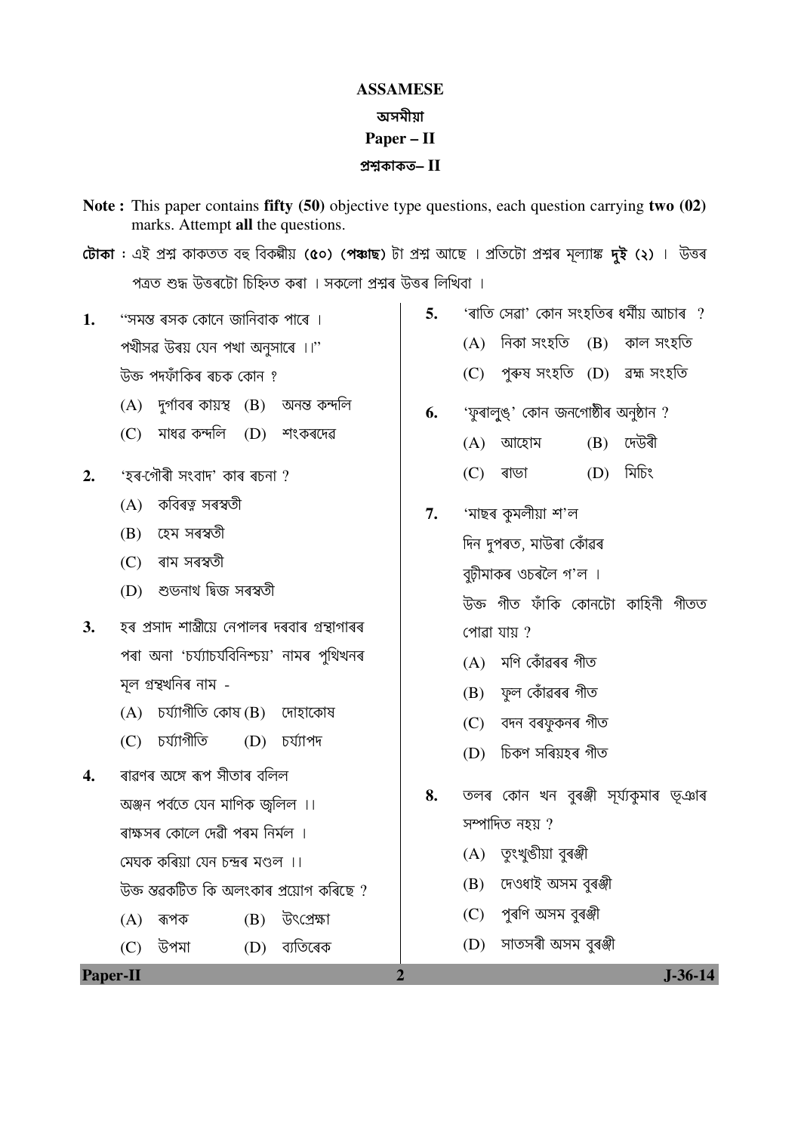## **ASSAMESE** অসমীযা Paper – II প্ৰশ্নকাকত– $\,$ II

- Note: This paper contains fifty (50) objective type questions, each question carrying two (02) marks. Attempt all the questions.
- টোকা : এই প্ৰশ্ন কাকতত বহু বিকৰ্মীয় (৫০) (পঞ্চাছ) টা প্ৰশ্ন আছে । প্ৰতিটো প্ৰশ্নৰ মূল্যাঙ্ক দুই (২) । উত্তৰ পত্ৰত শুদ্ধ উত্তৰটো চিহ্নিত কৰা । সকলো প্ৰশ্নৰ উত্তৰ লিখিবা ।
- ''সমস্ত ৰসক কোনে জানিবাক পাৰে । 1. পখীসৱ উৰয় যেন পখা অনসাৰে ।।'' উক্ত পদফাঁকিৰ ৰচক কোন ?
	- $(A)$  দৰ্গাবৰ কায়স্থ  $(B)$  অনন্ত কন্দলি
	- (C) মাধৱ কন্দলি (D) শংকৰদেৱ
- 'হৰ-গৌৰী সংবাদ' কাৰ ৰচনা ?  $2.$ 
	- (A) কবিৰত্ন সৰস্বতী
	- (B) হেম সৰস্বতী
	- $(C)$  ৰাম সৰস্বতী
	- (D) শুভনাথ দ্বিজ সৰস্বতী
- $3.$ হৰ প্ৰসাদ শাস্ত্ৰীয়ে নেপালৰ দৰবাৰ গ্ৰন্থাগাৰৰ পৰা অনা 'চৰ্য্যাচৰ্যবিনিশ্চয়' নামৰ পৃথিখনৰ মূল গ্ৰন্থখনিৰ নাম -
	- $(A)$  চৰ্য্যাগীতি কোষ $(B)$  দোহাকোষ
	- $(C)$  চৰ্য্যাগীতি  $(D)$  চৰ্য্যাপদ
- ৰাৱণৰ অঙ্গে ৰূপ সীতাৰ বলিল  $\overline{4}$ . অঞ্জন পর্বতে যেন মাণিক জলিল ।। ৰাক্ষসৰ কোলে দেৱী পৰম নিৰ্মল । মেঘক কৰিয়া যেন চন্দ্ৰৰ মণ্ডল ।। উক্ত স্তৱকটিত কি অলংকাৰ প্ৰয়োগ কৰিছে ?  $(B)$  উৎপ্ৰেক্ষা  $(A)$  ৰূপক
	- উপমা (D) ব্যতিৰেক  $(C)$
- 'ৰাতি সেৱা' কোন সংহতিৰ ধৰ্মীয় আচাৰ ? 5.  $(A)$  নিকা সংহতি  $(B)$  কাল সংহতি
	- $(C)$  পুৰুষ সংহতি  $(D)$  ৱহ্ম সংহতি
- 'ফুৰালুঙ্' কোন জনগোষ্ঠীৰ অনুষ্ঠান ? 6.
	- $(B)$  দেউৰী  $(A)$ আহোম  $(D)$  মিচিং

 $(C)$ 

ৰাভা

- 'মাছৰ কুমলীয়া শ'ল  $7.$ দিন দুপৰত, মাউৰা কোঁৱৰ বুঢ়ীমাকৰ ওচৰলৈ গ'ল । উক্ত গীত ফাঁকি কোনটো কাহিনী গীতত পোৱা যায় ?  $(A)$  মণি কোঁৱৰৰ গীত
	- (B) ফল কোঁৱৰৰ গীত
	- (C) বদন বৰফুকনৰ গীত
	- (D) চিকণ সৰিয়হৰ গীত
- তলৰ কোন খন বুৰঞ্জী সূৰ্য্যকুমাৰ ভূঞাৰ 8. সম্পাদিত নহয় ?
	- তৃংখুঙীয়া বুৰঞ্জী  $(A)$
	- দেওধাই অসম বুৰঞ্জী (B)
	- পৰণি অসম বৰঞ্জী  $(C)$
	- সাতসৰী অসম বৰঞ্জী  $(D)$

 $\overline{2}$ 

Paper-II

 $J-36-14$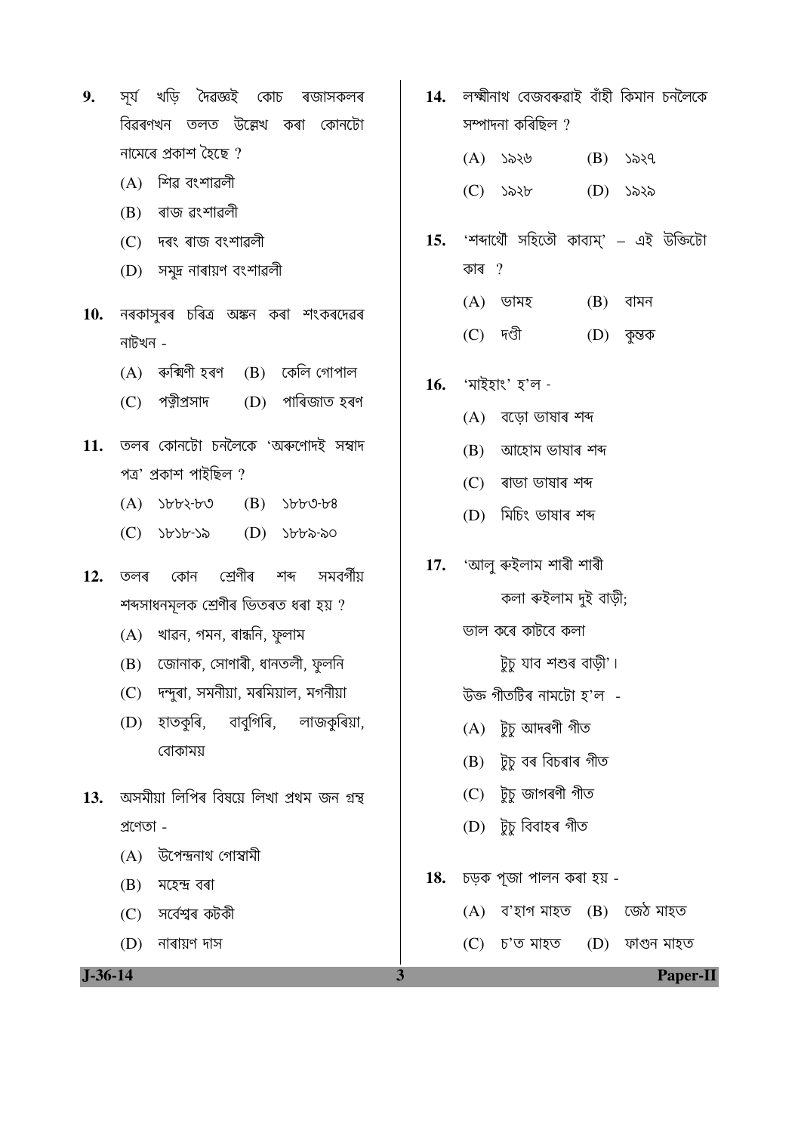- সূৰ্য খড়ি দৈৱজ্ঞই 9. কোচ ৰজাসকলৰ বিৱৰণখন তলত উল্লেখ কৰা কোনটো নামেৰে প্ৰকাশ হৈছে?
	- $(A)$  শিৱ বংশাৱলী
	- (B) ৰাজ ৱংশাৱলী
	- $(C)$  দৰং ৰাজ বংশাৱলী
	- (D) সমুদ্ৰ নাৰায়ণ বংশাৱলী
- নৰকাসুৰৰ চৰিত্ৰ অঙ্কন কৰা শংকৰদেৱৰ 10. নাটখন -
	- $(A)$  ৰুক্মিণী হৰণ  $(B)$  কেলি গোপাল
	- $(C)$  পত্নীপ্ৰসাদ (D) পাৰিজাত হৰণ
- $11.$  তলৰ কোনটো চনলৈকে 'অৰুণোদই সম্বাদ পত্ৰ' প্ৰকাশ পাইছিল ?
	- $(A)$   $\forall$  $(B)$ **SbbO-b8**
	- $(C)$   $\forall$ b $\forall$ b $\exists$ (D) ১৮৮৯-৯০
- কোন শ্ৰেণীৰ শ্ৰদ সমবর্গীয়  $12.$ তলৰ শব্দসাধনমূলক শ্ৰেণীৰ ভিতৰত ধৰা হয় ?
	- $(A)$  খাৱন, গমন, ৰান্ধনি, ফলাম
	- (B) জোনাক, সোণাৰী, ধানতলী, ফুলনি
	- (C) দন্দুৰা, সমনীয়া, মৰমিয়াল, মগনীয়া
	- (D) হাতকৰি, বাবুগিৰি, লাজকুৰিয়া, বোকাময়
- অসমীয়া লিপিৰ বিষয়ে লিখা প্ৰথম জন গ্ৰন্থ  $13.$ প্ৰণেতা -
	- (A) উপেন্দ্ৰনাথ গোস্বামী
	- $(B)$  মহেন্দ্ৰ বৰা
	- $(C)$ সৰ্বেশ্বৰ কটকী
	- $(D)$  নাৰায়ণ দাস

14. লক্ষ্মীনাথ বেজবৰুৱাই বাঁহী কিমান চনলৈকে সম্পাদনা কৰিছিল ?

> $(A)$  ১৯২৬  $(B)$   $\lambda$ 24  $(C)$   $\lambda \lambda b$  $(D)$  ১৯২৯

- 'শব্দাথৌ সহিতৌ কাব্যম্' এই উক্তিটো 15. কাৰ  $?$ 
	- $(A)$  তামহ  $(B)$  বামন
	- $(C)$  দণ্ডী  $(D)$  কৃন্তক
- 'মাইহাং' হ'ল -16.
	- $(A)$  বড়ো ভাষাৰ শব্দ
	- $(B)$  আহোম ভাষাৰ শব্দ
	- (C) ৰাভা ভাষাৰ শব্দ
	- (D) মিচিং ভাষাৰ শব্দ
- 'আলু ৰুইলাম শাৰী শাৰী 17.
	- কলা ৰুইলাম দুই বাড়ী;
	- ভাল কৰে কাটৱে কলা
		- টুচু যাব শশুৰ বাড়ী'।
	- উক্ত গীতটিৰ নামটো হ'ল -
	- (A) টুচু আদৰণী গীত
	- (B) টুচু বৰ বিচৰাৰ গীত
	- (C) টুচু জাগৰণী গীত
	- (D) টুচু বিবাহৰ গীত
- $18.$  চড়ক পূজা পালন কৰা হয় -

3

- $(A)$  ব'হাগ মাহত  $(B)$  জেঠ মাহত
- $(C)$  চ'ত মাহত (D) ফাগুন মাহত

 $J - 36 - 14$ 

Paper-II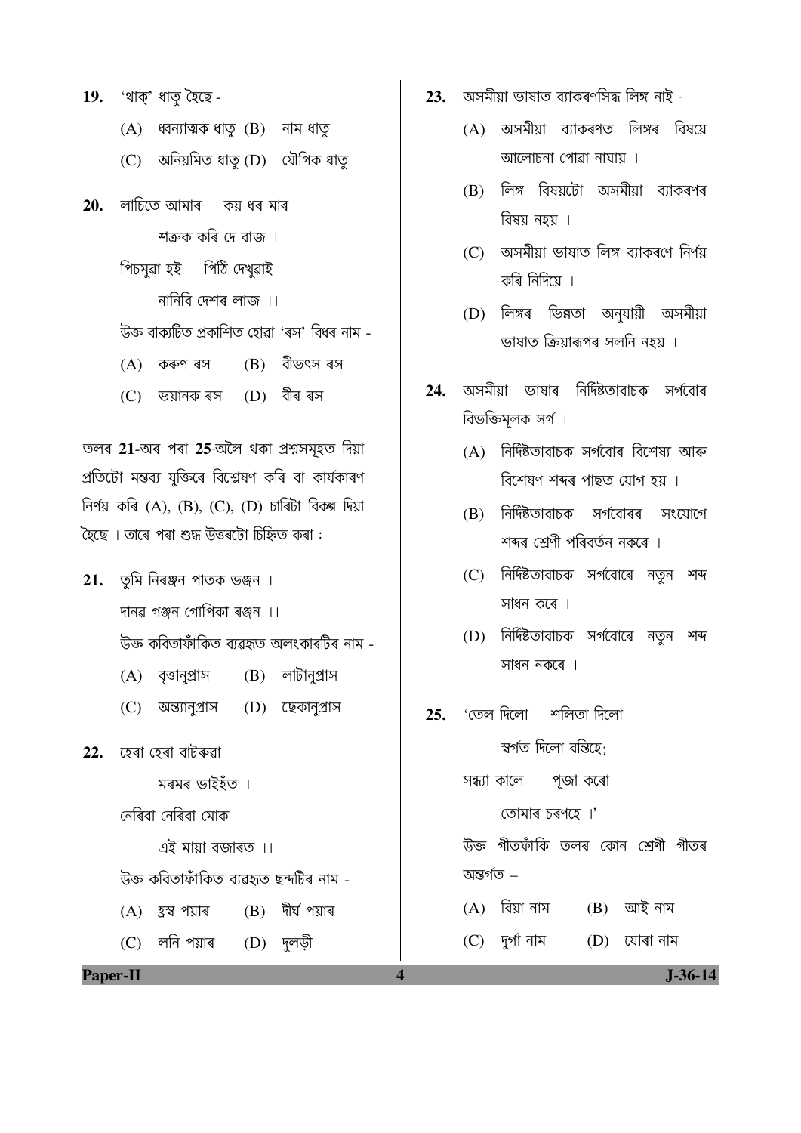- $19.$  'থাক্' ধাতৃ হৈছে -
	- $(A)$  ধ্বন্যাত্মক ধাতৃ  $(B)$  নাম ধাতৃ
	- (C) অনিয়মিত ধাতৃ (D) যৌগিক ধাতৃ
- **20.** লাচিতে আমাৰ কয ধৰ মাৰ

শত্ৰুক কৰি দে বাজ ।

পিচমুৱা হই পিঠি দেখুৱাই

নানিবি দেশৰ লাজ ।।

উক্ত বাক্যটিত প্ৰকাশিত হোৱা 'ৰস' বিধৰ নাম -

- (B) বীভৎস ৰস  $(A)$  কৰুণ ৰস
- (D) বীৰ ৰস (C) ভয়ানক ৰস

তলৰ 21-অৰ পৰা 25-অলৈ থকা প্ৰশ্নসমূহত দিয়া প্ৰতিটো মন্তব্য যুক্তিৰে বিশ্লেষণ কৰি বা কাৰ্যকাৰণ নিৰ্ণয় কৰি (A), (B), (C), (D) চাৰিটা বিকল্প দিয়া হৈছে । তাৰে পৰা শুদ্ধ উত্তৰটো চিহ্নিত কৰা :

- $21.$  তুমি নিৰঞ্জন পাতক ভঞ্জন । দানৱ গঞ্জন গোপিকা ৰঞ্জন ।। উক্ত কবিতাফাঁকিত ব্যৱহৃত অলংকাৰটিৰ নাম -(A) বৃত্তানুপ্ৰাস (B) লাটানুপ্ৰাস (C) অন্ত্যানুপ্ৰাস (D) ছেকানুপ্ৰাস
- 22. হেৰা হেৰা বাটৰুৱা
	- মৰমৰ ভাইহঁত ।

নেৰিবা নেৰিবা মোক

এই মায়া বজাৰত ।।

উক্ত কবিতাফাঁকিত ব্যৱহৃত ছন্দটিৰ নাম -

 $\overline{\mathbf{4}}$ 

- (B) দীৰ্ঘ পয়াৰ (A) হ্ৰস্ব পয়াৰ
- (C) লনি পয়াৰ  $(D)$  দুলড়ী
- অসমীয়া ভাষাত ব্যাকৰণসিদ্ধ লিঙ্গ নাই -23.
	- (A) অসমীয়া ব্যাকৰণত লিঙ্গৰ বিষয়ে আলোচনা পোৱা নাযায় ।
	- (B) লিঙ্গ বিষয়টো অসমীয়া ব্যাকৰণৰ বিষয় নহয় ।
	- (C) অসমীয়া ভাষাত লিঙ্গ ব্যাকৰণে নিৰ্ণয় কৰি নিদিয়ে ।
	- (D) লিঙ্গৰ ভিন্নতা অনুযায়ী অসমীয়া ভাষাত ক্ৰিয়াৰূপৰ সলনি নহয় ।
- 24. অসমীয়া ভাষাৰ নিৰ্দিষ্টতাবাচক সৰ্গবোৰ বিভক্তিমলক সর্গ ।
	- (A) নিৰ্দিষ্টতাবাচক সৰ্গবোৰ বিশেষ্য আৰু বিশেষণ শব্দৰ পাছত যোগ হয় ।
	- (B) নিৰ্দিষ্টতাবাচক সৰ্গবোৰৰ সংযোগে শব্দৰ শ্ৰেণী পৰিবৰ্তন নকৰে ।
	- (C) নিৰ্দিষ্টতাবাচক সৰ্গবোৰে নতুন শব্দ সাধন কৰে ।
	- (D) নিৰ্দিষ্টতাবাচক সৰ্গবোৰে নতুন শব্দ সাধন নকৰে ।
- 'তেল দিলো শলিতা দিলো  $25.$ স্বৰ্গত দিলো বন্তিহে $\cdot$ সন্ধ্যা কালে পূজা কৰো তোমাৰ চৰণহে ।' উক্ত গীতফাঁকি তলৰ কোন শ্ৰেণী গীতৰ অন্তৰ্গত – (A) বিয়া নাম  $(B)$  আই নাম  $(C)$  দুৰ্গা নাম  $(D)$  যোৰা নাম

Paper-II

 $J - 36 - 14$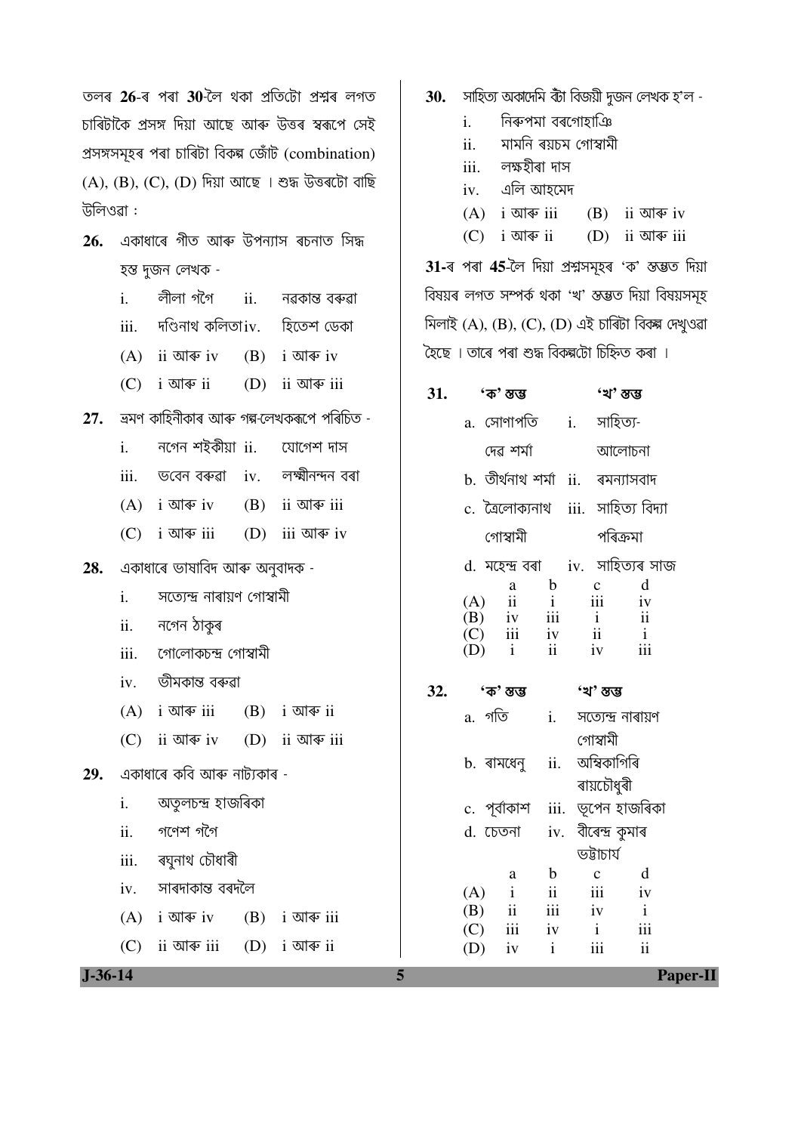তলৰ 26-ৰ পৰা 30-লৈ থকা প্ৰতিটো প্ৰশ্নৰ লগত চাৰিটাকৈ প্ৰসঙ্গ দিয়া আছে আৰু উত্তৰ স্বৰূপে সেই প্ৰসঙ্গসমূহৰ পৰা চাৰিটা বিকল্প জোঁট (combination)  $(A), (B), (C), (D)$  দিয়া আছে । শুদ্ধ উত্তৰটো বাছি উলিওৱা:

- 26. একাধাৰে গীত আৰু উপন্যাস ৰচনাত সিদ্ধ হস্ত দুজন লেখক -
	- লীলা গগৈ  $i$ .  $ii.$ নৱকান্ত বৰুৱা
	- দণ্ডিনাথ কলিতা।v হিতেশ ডেকা iii.
	- $(A)$  ii আৰু iv (B) i আৰু iv
	- $(C)$  i আৰু ii  $(D)$  ii আৰু iii
- ভ্ৰমণ কাহিনীকাৰ আৰু গল্প-লেখকৰূপে পৰিচিত -27.
	- নগেন শইকীয়া ii. যোগেশ দাস  $\mathbf{i}$ .
	- লক্ষ্মীনন্দন বৰা iii. ভবেন বৰুৱা  $iv$ .
	- $(A)$  i আৰু iv (B) ii আৰু iii
	- $(C)$  i আৰু iii  $(D)$  iii আৰু iv
- একাধাৰে ভাষাবিদ আৰু অনুবাদক -28.
	- $\mathbf{i}$ . সত্যেন্দ্ৰ নাৰায়ণ গোস্বামী
	- $ii.$ নগেন ঠাকুৰ
	- গোলোকচন্দ্ৰ গোস্বামী iii.
	- ভীমকান্ত বৰুৱা  $iv.$
	- $(A)$  i আৰু iii  $(B)$  i আৰু ii
	- $(C)$  ii আৰু iv  $(D)$  ii আৰু iii
- একাধাৰে কবি আৰু নাট্যকাৰ -29.
	- অতৃলচন্দ্ৰ হাজৰিকা  $\mathbf{i}$ .
	- গণেশ গগৈ ii.

 $J - 36 - 14$ 

- iii. ৰঘুনাথ চৌধাৰী
- $iv$ . সাৰদাকান্ত বৰদলৈ
- $(A)$  i আৰু iv  $(B)$  i আৰু iii
- 
- $(C)$ ii আৰু iii  $(D)$ i আৰু ii
- 30. সাহিত্য অকাদেমি বঁটা বিজয়ী দুজন লেখক হ'ল -
	- $\mathbf{i}$ . নিৰুপমা বৰগোহাঞি
	- মামনি ৰয়চম গোস্বামী  $ii.$
	- $iii.$ লক্ষহীৰা দাস
	- এলি আহমেদ  $iv.$
	- $(A)$  i আৰু iii  $(B)$  ii আৰু iv
	- $(C)$  i আৰু ii (D) ii আৰু iii

 $31$ -ৰ পৰা 45-লৈ দিয়া প্ৰশ্নসমূহৰ 'ক' স্তম্ভত দিয়া বিষয়ৰ লগত সম্পৰ্ক থকা 'খ' স্তম্ভত দিয়া বিষয়সমূহ মিলাই (A), (B), (C), (D) এই চাৰিটা বিকৰ দেখুওৱা হৈছে । তাৰে পৰা শুদ্ধ বিকল্পটো চিহ্নিত কৰা ।

| 31. | 'ক' স্তম্ভ                          |                                  |                                                                                                                                                                                                                                                                                                            |  | 'খ' স্তম্ভ               |                                        |  |  |  |
|-----|-------------------------------------|----------------------------------|------------------------------------------------------------------------------------------------------------------------------------------------------------------------------------------------------------------------------------------------------------------------------------------------------------|--|--------------------------|----------------------------------------|--|--|--|
|     |                                     |                                  |                                                                                                                                                                                                                                                                                                            |  | a. সোণাপতি  i.  সাহিত্য- |                                        |  |  |  |
|     | দেৱ শৰ্মা                           |                                  |                                                                                                                                                                                                                                                                                                            |  | আলোচনা                   |                                        |  |  |  |
|     |                                     | b. তীৰ্থনাথ শৰ্মা ii. ৰমন্যাসবাদ |                                                                                                                                                                                                                                                                                                            |  |                          |                                        |  |  |  |
|     | c. ত্রৈলোক্যনাথ iii. সাহিত্য বিদ্যা |                                  |                                                                                                                                                                                                                                                                                                            |  |                          |                                        |  |  |  |
|     | গোস্বামী                            |                                  |                                                                                                                                                                                                                                                                                                            |  | পৰিক্ৰমা                 |                                        |  |  |  |
|     |                                     |                                  |                                                                                                                                                                                                                                                                                                            |  |                          | d. মহেন্দ্ৰ বৰা      iv.  সাহিত্যৰ সাজ |  |  |  |
|     |                                     |                                  |                                                                                                                                                                                                                                                                                                            |  |                          | $\mathbf d$                            |  |  |  |
|     |                                     |                                  |                                                                                                                                                                                                                                                                                                            |  | $\overline{\text{iii}}$  | iv                                     |  |  |  |
|     |                                     |                                  |                                                                                                                                                                                                                                                                                                            |  |                          | $\overline{\mathbf{u}}$                |  |  |  |
|     |                                     |                                  |                                                                                                                                                                                                                                                                                                            |  |                          | $\mathbf{i}$                           |  |  |  |
|     |                                     |                                  | $\begin{array}{ccccccccc} & & & a & & b & & c \\ (A) & & \mathrm{i} \mathrm{i} & & \mathrm{i} & & \mathrm{iii} \\ (B) & & \mathrm{i} \mathrm{v} & & \mathrm{iii} & & \mathrm{i} \\ (C) & & \mathrm{iii} & & \mathrm{iv} & & \mathrm{ii} \\ (D) & & \mathrm{i} & & \mathrm{ii} & & \mathrm{iv} \end{array}$ |  |                          | $\overline{\mathbf{iii}}$              |  |  |  |
| 32. | 'ক' স্তম্ভ                          |                                  |                                                                                                                                                                                                                                                                                                            |  | 'খ' স্তম্ভ               |                                        |  |  |  |
|     | $a.$ গতি                            |                                  |                                                                                                                                                                                                                                                                                                            |  | i. সত্যেন্দ্ৰ নাৰায়ণ    |                                        |  |  |  |
|     |                                     |                                  |                                                                                                                                                                                                                                                                                                            |  | গোস্বামী                 |                                        |  |  |  |
|     |                                     |                                  | $b.$ ৰামধেনু ii.                                                                                                                                                                                                                                                                                           |  | অম্বিকাগিৰি              |                                        |  |  |  |
|     |                                     |                                  |                                                                                                                                                                                                                                                                                                            |  | ৰায়চৌধুৰী               |                                        |  |  |  |

iii. ভূপেন হাজৰিকা c. পূর্বাকাশ iv. বীৰেন্দ্ৰ কুমাৰ d. চেতনা চারার্মন্ত  $\mathbf{h}$  $\mathcal{C}$  $\mathsf{d}$ a  $\overline{\mathbf{i}}$  $(A)$  $\mathbf{i}$  $\mathbf{ii}$  $iv$  $(B)$  $\mathbf{ii}$ iii  $iv$  $\mathbf{i}$ 

 $iv$ 

 $\mathbf{i}$ 

 $\mathbf{i}$ 

iii

 $(C)$ 

 $(D)$ 

iii

iv

**Paper-II** 

iii

 $\mathbf{ii}$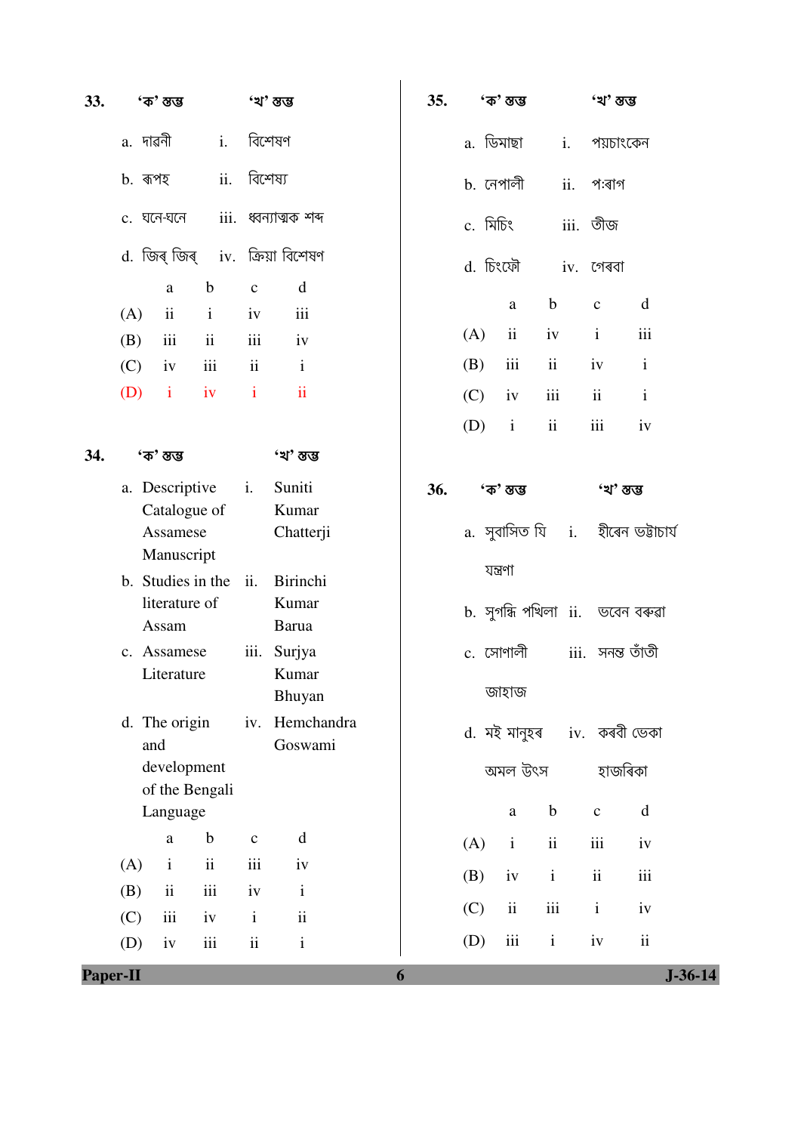| 33.      |                                          | 'ক' স্তম্ভ         |              |              | 'খ' স্তম্ভ               | 35.                        |                                  | 'ক' স্তম্ভ                  |              | 'খ' স্তম্ভ                               |               |  |  |  |
|----------|------------------------------------------|--------------------|--------------|--------------|--------------------------|----------------------------|----------------------------------|-----------------------------|--------------|------------------------------------------|---------------|--|--|--|
|          | a. দাৱনী<br>$\mathbf{i}$ .               |                    |              |              | বিশেষণ                   |                            |                                  | a. ডিমাছা<br>$\mathbf{i}$ . |              |                                          | পয়চাংকেন     |  |  |  |
|          | ii.<br>b. ৰূপহ                           |                    |              | বিশেষ্য      |                          |                            | b. নেপালী<br>ii.                 |                             |              | প:ৰাগ                                    |               |  |  |  |
|          | c. ঘনে-ঘনে                               |                    |              |              | iii. ধ্বন্যাত্মক শব্দ    |                            |                                  | c. মিচিং<br>iii. তীজ        |              |                                          |               |  |  |  |
|          | d. জিৰ্ জিৰ্ iv. ক্ৰিয়া বিশেষণ          |                    |              |              |                          |                            | d. চিংফৌ                         |                             |              | iv. গেৰবা                                |               |  |  |  |
|          |                                          | $\rm{a}$           | $\mathbf b$  | $\mathbf C$  | d                        |                            |                                  |                             |              |                                          |               |  |  |  |
|          | (A)                                      | $\mathbf{ii}$      | $\mathbf{i}$ | iv           | iii                      |                            |                                  | a                           | $\mathbf b$  | $\mathbf C$                              | d             |  |  |  |
|          | (B)                                      | iii                | ii           | iii          | iv                       |                            | (A)                              | $\mathbf{ii}$               | iv           | $\mathbf{i}$                             | iii           |  |  |  |
|          | (C)                                      | iv                 | iii          | ii           | $\mathbf{i}$             |                            | (B)                              | iii                         | ii           | iv                                       | $\mathbf{i}$  |  |  |  |
|          | (D)                                      | $\mathbf{i}$       | iv           | $\mathbf{i}$ | $\rm ii$                 |                            | (C)                              | iv                          | iii          | ii                                       | $\mathbf{i}$  |  |  |  |
|          |                                          |                    |              |              |                          |                            | (D)                              | $\mathbf{i}$                | $\rm ii$     | iii                                      | iv            |  |  |  |
| 34.      |                                          | 'ক' স্তম্ভ         |              |              | 'খ' ম্ভম্ভ               |                            |                                  |                             |              |                                          |               |  |  |  |
|          | a. Descriptive                           |                    |              |              | Suniti                   | 36.                        | 'ক' স্তম্ভ                       |                             |              |                                          | 'খ' ম্ভম্ভ    |  |  |  |
|          | Catalogue of                             |                    |              |              | Kumar                    |                            |                                  |                             |              |                                          |               |  |  |  |
|          | Assamese<br>Manuscript                   |                    |              |              | Chatterji                |                            |                                  |                             |              | a.  সুবাসিত যি<br>i.<br>হীৰেন ভট্টাচাৰ্য |               |  |  |  |
|          |                                          | b. Studies in the  |              | ii.          | Birinchi                 |                            | যন্ত্ৰণা                         |                             |              |                                          |               |  |  |  |
|          | literature of<br>Kumar<br>Assam<br>Barua |                    |              |              |                          |                            | b. সুগন্ধি পখিলা ii. ভবেন বৰুৱা  |                             |              |                                          |               |  |  |  |
|          | c. Assamese<br>iii.                      |                    |              |              | Surjya                   |                            | সনন্ত তাঁতী<br>iii.<br>c. সোণালী |                             |              |                                          |               |  |  |  |
|          |                                          | Literature         |              |              | Kumar                    |                            | জাহাজ                            |                             |              |                                          |               |  |  |  |
|          |                                          | d. The origin      |              |              | Bhuyan<br>iv. Hemchandra |                            |                                  |                             |              |                                          |               |  |  |  |
|          |                                          | and                |              |              | Goswami                  | d. মই মানুহৰ iv. কৰবী ভেকা |                                  |                             |              |                                          |               |  |  |  |
|          | development                              |                    |              |              |                          |                            | অমল উৎস                          |                             |              |                                          | হাজৰিকা       |  |  |  |
|          | of the Bengali                           |                    |              |              |                          |                            |                                  |                             | $\mathbf b$  |                                          | $\mathbf d$   |  |  |  |
|          |                                          | Language           |              |              |                          |                            |                                  | $\rm{a}$                    |              | $\mathbf C$                              |               |  |  |  |
|          |                                          | $\mathbf{a}$       | $\mathbf b$  | $\mathbf{C}$ | $\mathbf d$              |                            | (A)                              | $\mathbf{i}$                | $\rm ii$     | iii                                      | iv            |  |  |  |
|          | (A)                                      | $\mathbf{i}$<br>ii | ii<br>iii    | iii<br>iv    | iv<br>$\mathbf{i}$       |                            | (B)                              | iv                          | $\mathbf{i}$ | $\rm ii$                                 | iii           |  |  |  |
|          | (B)<br>(C)                               | $\rm iii$          | iv           | $\mathbf{i}$ | $\rm ii$                 |                            | (C)                              | $\ddot{\mathbf{i}}$         | iii          | $\mathbf{i}$                             | iv            |  |  |  |
|          | (D)                                      | iv                 | iii          | ii           | $\mathbf{i}$             |                            | (D)                              | $\,$ iii                    | $\mathbf{i}$ | iv                                       | $\rm ii$      |  |  |  |
| Paper-II |                                          |                    |              |              |                          | 6                          |                                  |                             |              |                                          | $J - 36 - 14$ |  |  |  |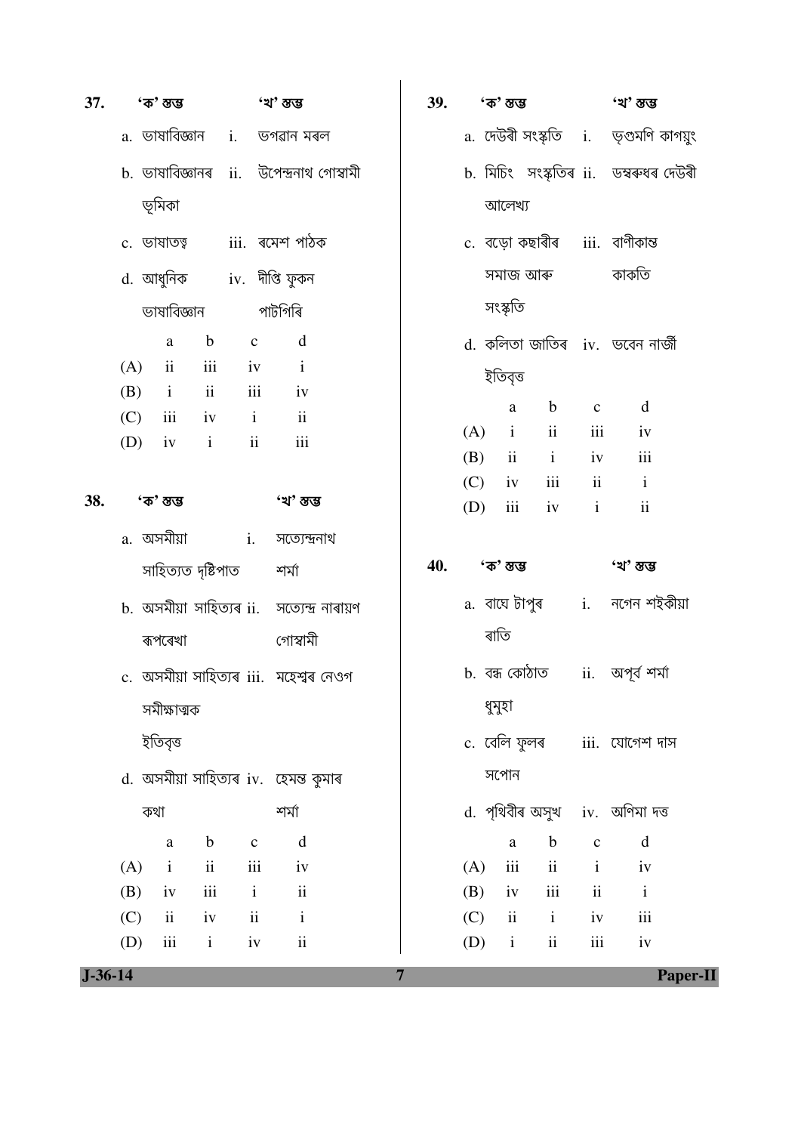| 37. |                                | 'ক' স্তম্ভ                |                |               | 'খ' ম্ভ                                    | 39. |            | 'ক' স্তম্ভ   |                               |              | 'খ' স্তম্ভ                              |  |
|-----|--------------------------------|---------------------------|----------------|---------------|--------------------------------------------|-----|------------|--------------|-------------------------------|--------------|-----------------------------------------|--|
|     |                                | a. ভাষাবিজ্ঞান            | $\mathbf{i}$ . |               | ভগৱান মৰল                                  |     |            |              |                               |              | a. দেউৰী সংস্কৃতি i. ভৃগুমণি কাগয়ুং    |  |
|     |                                |                           |                |               | b. ভাষাবিজ্ঞানৰ ii. উপেন্দ্ৰনাথ গোস্বামী   |     |            |              |                               |              | b. মিচিং সংস্কৃতিৰ ii. ডম্বৰুধৰ দেউৰী   |  |
|     |                                | ভূমিকা                    |                |               |                                            |     |            | আলেখ্য       |                               |              |                                         |  |
|     |                                | c. ভাষাতত্ব               |                |               | iii.   ৰমেশ পাঠক                           |     |            |              | c. বড়ো কছাৰীৰ iii. বাণীকান্ত |              |                                         |  |
|     |                                | d. আধুনিক iv. দীপ্তি ফুকন |                |               |                                            |     |            |              | সমাজ আৰু                      |              | কাকতি                                   |  |
|     |                                | ভাষাবিজ্ঞান               |                |               | পাটগিৰি                                    |     |            | সংস্কৃতি     |                               |              |                                         |  |
|     |                                | a                         | $\mathbf b$    | $\mathbf{C}$  | d                                          |     |            |              |                               |              | d. কলিতা জাতিৰ iv. ভবেন নাৰ্জী          |  |
|     | (A)<br>(B)                     | ii iii<br>$i$ ii          |                |               | $iv$ $i$<br>iii iv                         |     |            | ইতিবৃত্ত     |                               |              |                                         |  |
|     | (C)                            |                           | iii iv i ii    |               |                                            |     |            | a            | $\mathbf b$                   | $\mathbf{C}$ | d                                       |  |
|     | (D)                            | iv                        | $\mathbf{i}$   | $\mathbf{ii}$ | iii                                        |     |            |              | $(A)$ i ii<br>$ii$ $i$        | iii          | iv<br>iii                               |  |
|     |                                |                           |                |               |                                            |     | (B)<br>(C) | iv           | iii                           | iv<br>ii     | $\mathbf{i}$                            |  |
| 38. |                                | 'ক' স্তম্ভ                |                |               | 'খ' স্তম্ভ                                 |     | (D)        | iii          | iv                            | $\mathbf{i}$ | $\overline{\mathbf{i}}$                 |  |
|     |                                | $a.$ অসমীয়া $i.$         |                |               | সত্যেন্দ্ৰনাথ                              |     |            |              |                               |              |                                         |  |
|     |                                | সাহিত্যত দৃষ্টিপাত        |                |               | শৰ্মা                                      | 40. | 'ক' স্তম্ভ |              |                               |              | 'খ' ম্ভ                                 |  |
|     |                                |                           |                |               | b. অসমীয়া সাহিত্যৰ ii. সত্যেন্দ্ৰ নাৰায়ণ |     |            |              |                               |              | a. বাঘে টাপুৰ        i.    নগেন শইকীয়া |  |
|     |                                | ৰূপৰেখা                   |                |               | গোস্বামী                                   |     |            | ৰাতি         |                               |              |                                         |  |
|     |                                |                           |                |               | c. অসমীয়া সাহিত্যৰ iii. মহেশ্বৰ নেওগ      |     |            |              | b. বন্ধ কোঠাত                 |              | ii.    অপূর্ব শর্মা                     |  |
|     |                                | সমীক্ষাত্মক               |                |               |                                            |     |            | ধুমুহা       |                               |              |                                         |  |
|     |                                | ইতিবৃত্ত                  |                |               |                                            |     |            |              | c. বেলি ফুলৰ                  |              | iii. যোগেশ দাস                          |  |
|     |                                |                           |                |               | d. অসমীয়া সাহিত্যৰ iv. হেমন্ত কুমাৰ       |     |            | সপোন         |                               |              |                                         |  |
|     |                                | কথা                       |                |               | শৰ্মা                                      |     |            |              |                               |              | d. পৃথিবীৰ অসুখ iv. অণিমা দত্ত          |  |
|     |                                | $\rm{a}$                  | $\mathbf b$    | $\mathbf{C}$  | d                                          |     |            | $\rm{a}$     | $\mathbf b$                   | $\mathbf c$  | d                                       |  |
|     | (A)                            | $\mathbf{i}$              | $\rm ii$       | iii           | iv                                         |     | (A)        | iii          | $\rm ii$                      | $\mathbf{i}$ | iv                                      |  |
|     | (B)                            | iv                        | $\,$ iii       | $\mathbf{i}$  | $\,$ ii                                    |     | (B)        | iv           | $\,$ iii                      | $\rm ii$     | $\mathbf{i}$                            |  |
|     | (C)                            | ii                        | iv             | $\rm ii$      | $\mathbf{i}$                               |     | (C)        | ii           | $\mathbf{i}$                  | iv           | $\,$ iii                                |  |
|     | (D)                            | iii                       | $\mathbf{i}$   | iv            | $\overline{\mathbf{u}}$                    |     | (D)        | $\mathbf{i}$ | $\rm ii$                      | iii          | iv                                      |  |
|     | $J - 36 - 14$<br>Paper-II<br>7 |                           |                |               |                                            |     |            |              |                               |              |                                         |  |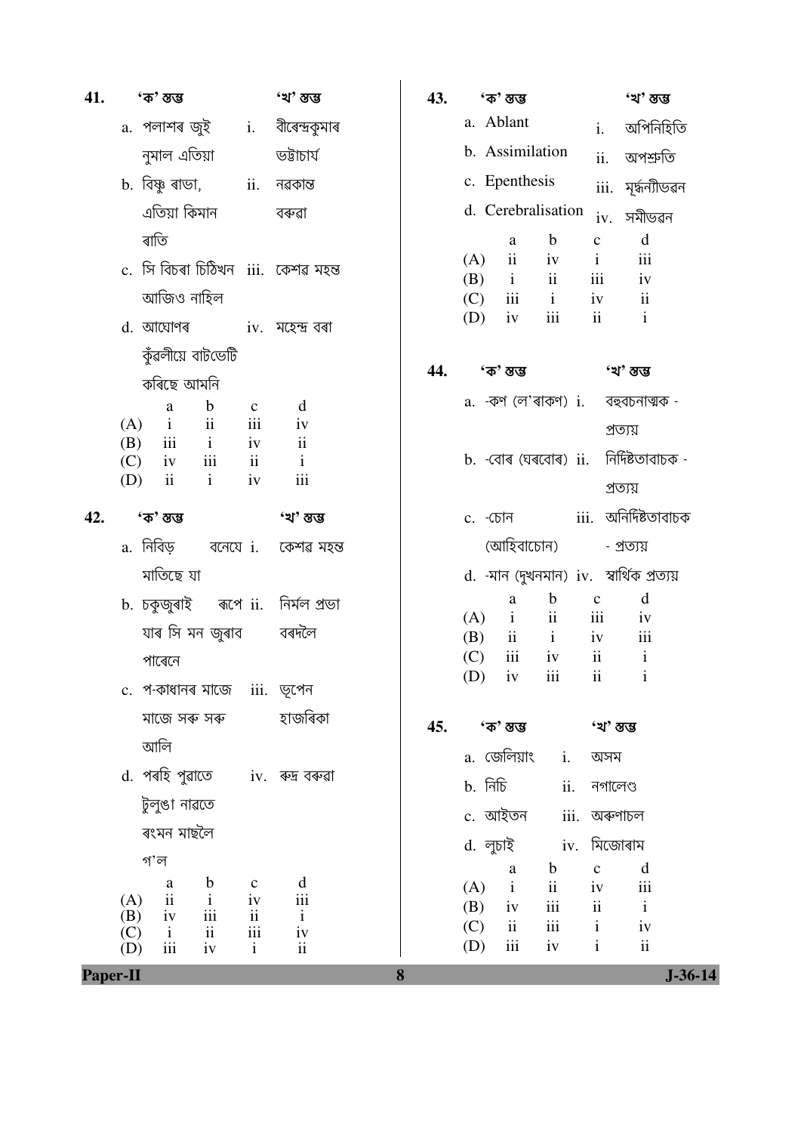| 41.      |                    | 'ক' স্তম্ভ                  |                                           |                                | 'খ' স্তম্ভ                              |                          | 43.                             |                                           | 'ক' স্তম্ভ          |                                         |                         | 'খ' ম্ভম্ভ                            |
|----------|--------------------|-----------------------------|-------------------------------------------|--------------------------------|-----------------------------------------|--------------------------|---------------------------------|-------------------------------------------|---------------------|-----------------------------------------|-------------------------|---------------------------------------|
|          |                    |                             |                                           |                                | a. পলাশৰ জুই i. বীৰেন্দ্ৰকুমাৰ          |                          |                                 |                                           | a. Ablant           |                                         | i.                      | অপিনিহিতি                             |
|          |                    | নুমাল এতিয়া                |                                           |                                | ভট্টাচাৰ্য                              |                          |                                 |                                           | b. Assimilation     |                                         | ii.                     | অপশ্ৰুতি                              |
|          |                    | b. বিষ্ণু ৰাভা,         ii. |                                           |                                | নৱকান্ত                                 |                          |                                 |                                           | c. Epenthesis       |                                         |                         | iii. মূৰ্ষন্যীভৱন                     |
|          |                    | এতিয়া কিমান                |                                           |                                | বৰুৱা                                   |                          |                                 |                                           |                     | d. Cerebralisation                      | iv.                     | সমীভৱন                                |
|          |                    | ৰাতি                        |                                           |                                |                                         |                          |                                 |                                           | $\rm{a}$            | $\mathbf b$                             | $\mathbf C$             | $\mathbf d$                           |
|          |                    |                             |                                           |                                | c. সি বিচৰা চিঠিখন iii. কেশৱ মহন্ত      |                          |                                 | (A)                                       | $\ddot{\mathbf{i}}$ | iv                                      | $\mathbf{i}$            | iii                                   |
|          |                    | আজিও নাহিল                  |                                           |                                |                                         |                          |                                 | (B)<br>(C)                                | $\mathbf{i}$<br>iii | $\overline{\mathbf{u}}$<br>$\mathbf{i}$ | iii<br>iv               | iv<br>ii                              |
|          |                    | d. আঘোণৰ                    |                                           |                                | iv. মহেন্দ্ৰ বৰা                        |                          |                                 | (D)                                       | iv                  | iii                                     | $\overline{\mathbf{u}}$ | $\mathbf{i}$                          |
|          |                    |                             | কুঁৱলীয়ে বাটডেটি                         |                                |                                         |                          |                                 |                                           |                     |                                         |                         |                                       |
|          |                    | কৰিছে আমনি                  |                                           |                                |                                         |                          | 44.                             |                                           | 'ক' স্তম্ভ          |                                         |                         | 'খ' স্তম্ভ                            |
|          |                    | a                           | b                                         | $\mathbf{C}$                   | d                                       |                          |                                 |                                           |                     |                                         |                         | a. -কণ (ল'ৰাকণ) i. বহুবচনাত্মক -      |
|          | (A)                | $\mathbf{i}$                | $\overline{\mathbf{i}}$                   | iii                            | iv                                      |                          |                                 |                                           |                     |                                         |                         | প্ৰত্যয়                              |
|          | (B)<br>(C)         | iii<br>iv                   | $\mathbf{i}$<br>$\overline{\mathbf{iii}}$ | iv<br>$\overline{\mathbf{i}}$  | $\overline{\mathbf{u}}$<br>$\mathbf{i}$ |                          |                                 |                                           |                     |                                         |                         | b. -বোৰ (ঘৰবোৰ) ii. নিৰ্দিষ্টতাবাচক - |
|          | (D)                | $\rm ii$                    | $\mathbf{i}$                              | iv                             | iii                                     |                          |                                 |                                           |                     |                                         |                         | প্রত্যয়                              |
| 42.      |                    | 'ক' স্তম্ভ                  |                                           |                                | 'খ' স্তম্ভ                              |                          |                                 | c. -চোন                                   |                     |                                         |                         | iii. অনিৰ্দিষ্টতাবাচক                 |
|          | a. নিবিড় বনেযে i. |                             |                                           | কেশৱ মহন্ত                     |                                         | (আহিবাচোন)<br>- প্রত্যয় |                                 |                                           |                     |                                         |                         |                                       |
|          | মাতিছে যা          |                             |                                           |                                |                                         |                          |                                 | d. -মান (দুখনমান) iv.  স্বাৰ্থিক প্ৰত্যয় |                     |                                         |                         |                                       |
|          |                    |                             |                                           |                                |                                         |                          |                                 |                                           | a                   | $\mathbf b$                             | $\mathbf c$             | d                                     |
|          |                    |                             |                                           |                                | b. চকুজুৰাই    ৰূপে ii.   নিৰ্মল প্ৰভা  |                          |                                 | (A)                                       | $\mathbf{i}$        | $\overline{\mathbf{u}}$                 | iii                     | iv                                    |
|          |                    |                             | যাৰ সি মন জুৰাব                           |                                | বৰদলৈ                                   |                          |                                 | (B)                                       | $ii$ $i$            |                                         | iv                      | iii                                   |
|          |                    | পাৰেনে                      |                                           |                                |                                         |                          |                                 | (C)                                       | iii                 | iv                                      | $\overline{\mathbf{u}}$ | $\bf{i}$                              |
|          |                    | c. প-কাধানৰ মাজে iii. ভূপেন |                                           |                                |                                         |                          |                                 |                                           |                     | $(D)$ iv iii ii i                       |                         |                                       |
|          |                    | মাজে সৰু সৰু                |                                           |                                | হাজৰিকা                                 |                          | 45.                             |                                           | 'ক' স্তম্ভ          |                                         | 'খ' ম্ভ                 |                                       |
|          |                    | আলি                         |                                           |                                |                                         |                          |                                 |                                           | a. জেলিয়াং         | $i$ .                                   | অসম                     |                                       |
|          |                    |                             |                                           |                                | d. পৰহি পুৱাতে iv. ৰুদ্ৰ বৰুৱা          |                          |                                 | $b.$ নিচি                                 |                     | ii.                                     | নগালেণ্ড                |                                       |
|          |                    | টুলুঙা নাৱতে                |                                           |                                |                                         |                          |                                 |                                           |                     |                                         | iii. অৰুণাচল            |                                       |
|          | ৰংমন মাছলৈ         |                             |                                           |                                |                                         |                          | c. আইতন<br>d. লুচাই iv. মিজোৰাম |                                           |                     |                                         |                         |                                       |
|          |                    | গ'ল                         |                                           |                                |                                         |                          |                                 |                                           | a                   | $\mathbf b$                             | $\mathbf{C}$            | d                                     |
|          |                    | a                           | $\mathbf b$                               | $\mathbf C$                    | d                                       |                          |                                 | (A)                                       | $\mathbf{i}$        | $\rm ii$                                | iv                      | iii                                   |
|          | (A)                | $\overline{\mathbf{u}}$     | $\mathbf{i}$                              | iv                             | iii                                     |                          |                                 | (B)                                       | iv                  | iii                                     | $\ddot{\mathbf{i}}$     | $\mathbf{i}$                          |
|          | (B)<br>(C)         | iv<br>$\mathbf{i}$          | iii<br>$\mathbf{ii}$                      | $\overline{\mathbf{u}}$<br>iii | $\,$ i<br>$\frac{1}{1}$                 |                          |                                 | (C)                                       | ii                  | $\,$ iii                                | $\mathbf{i}$            | iv                                    |
|          | (D)                | iii                         | iv                                        | $\mathbf{i}$                   | $\rm ii$                                |                          |                                 | (D)                                       | iii                 | iv                                      | $\mathbf{i}$            | $\overline{\textbf{ii}}$              |
| Paper-II |                    |                             |                                           |                                |                                         |                          |                                 |                                           |                     |                                         | $J - 36 - 14$           |                                       |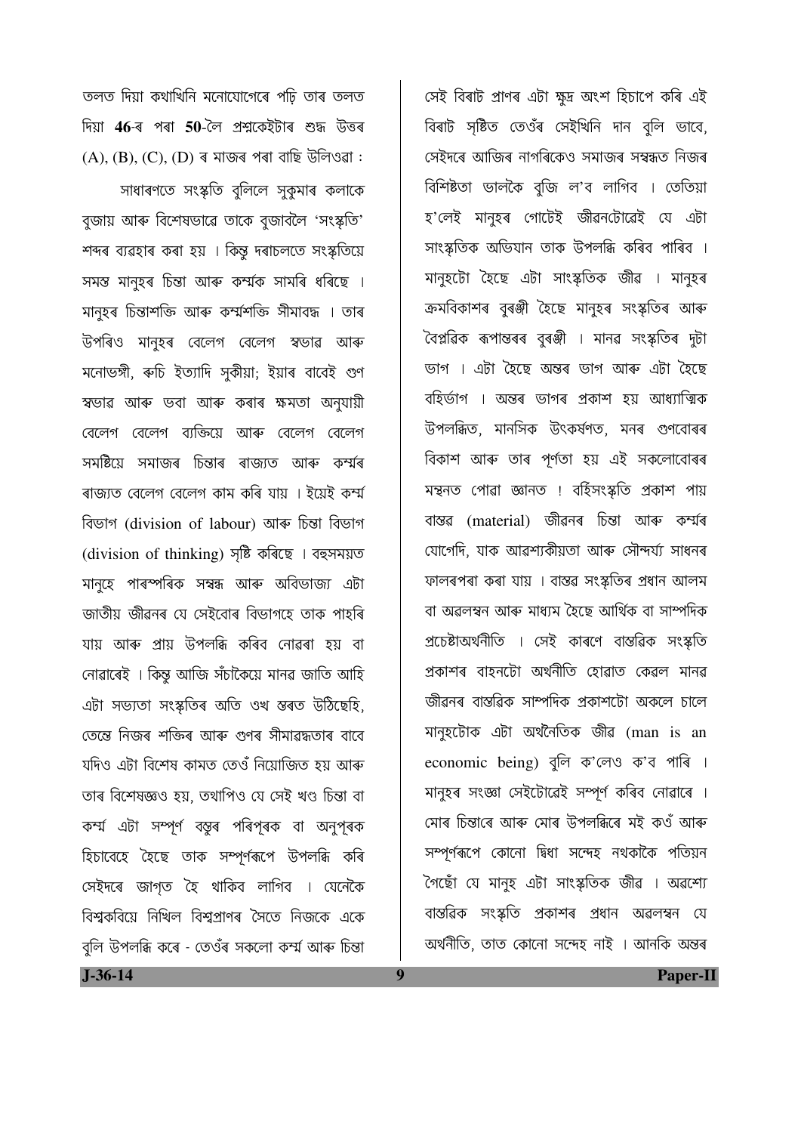তলত দিয়া কথাখিনি মনোযোগেৰে পঢ়ি তাৰ তলত দিয়া 46-ৰ পৰা 50-লৈ প্ৰশ্নকেইটাৰ শুদ্ধ উত্তৰ  $(A), (B), (C), (D)$  ৰ মাজৰ পৰা বাছি উলিওৱা:

সাধাৰণতে সংস্কৃতি বুলিলে সুকুমাৰ কলাকে বুজায় আৰু বিশেষভাৱে তাকে বুজাবলৈ 'সংস্কৃতি' শব্দৰ ব্যৱহাৰ কৰা হয় । কিন্তু দৰাচলতে সংস্কৃতিয়ে সমস্ত মানুহৰ চিন্তা আৰু কৰ্ম্মক সামৰি ধৰিছে । মানুহৰ চিন্তাশক্তি আৰু কৰ্ম্মশক্তি সীমাবদ্ধ । তাৰ উপৰিও মানুহৰ বেলেগ বেলেগ স্বভাৱ আৰু মনোভঙ্গী, ৰুচি ইত্যাদি সুকীয়া; ইয়াৰ বাবেই গুণ স্বভাৱ আৰু ভবা আৰু কৰাৰ ক্ষমতা অনুযায়ী বেলেগ বেলেগ ব্যক্তিয়ে আৰু বেলেগ বেলেগ সমষ্টিয়ে সমাজৰ চিন্তাৰ ৰাজ্যত আৰু কৰ্ম্মৰ ৰাজ্যত বেলেগ বেলেগ কাম কৰি যায় । ইয়েই কৰ্ম্ম বিভাগ (division of labour) আৰু চিন্তা বিভাগ (division of thinking) সৃষ্টি কৰিছে । বহুসময়ত মানহে পাৰস্পৰিক সম্বন্ধ আৰু অবিভাজ্য এটা জাতীয় জীৱনৰ যে সেইবোৰ বিভাগহে তাক পাহৰি যায় আৰু প্ৰায় উপলব্ধি কৰিব নোৱৰা হয় বা নোৱাৰেই । কিন্তু আজি সঁচাকৈয়ে মানৱ জাতি আহি এটা সভ্যতা সংস্কতিৰ অতি ওখ স্তৰত উঠিছেহি, তেন্তে নিজৰ শক্তিৰ আৰু গুণৰ সীমাৱদ্ধতাৰ বাবে যদিও এটা বিশেষ কামত তেওঁ নিয়োজিত হয় আৰু তাৰ বিশেষজ্ঞও হয়, তথাপিও যে সেই খণ্ড চিন্তা বা কৰ্ম্ম এটা সম্পূৰ্ণ বস্তুৰ পৰিপূৰক বা অনুপূৰক হিচাবেহে হৈছে তাক সম্পূৰ্ণৰূপে উপলব্ধি কৰি সেইদৰে জাগত হৈ থাকিব লাগিব । যেনেকৈ বিশ্বকবিয়ে নিখিল বিশ্বপ্ৰাণৰ সৈতে নিজকে একে বুলি উপলব্ধি কৰে - তেওঁৰ সকলো কৰ্ম্ম আৰু চিন্তা

সেই বিৰাট প্ৰাণৰ এটা ক্ষদ্ৰ অংশ হিচাপে কৰি এই বিৰাট সৃষ্টিত তেওঁৰ সেইখিনি দান বুলি ভাবে, সেইদৰে আজিৰ নাগৰিকেও সমাজৰ সম্বন্ধত নিজৰ বিশিষ্টতা ভালকৈ বুজি ল'ব লাগিব । তেতিয়া হ'লেই মানুহৰ গোটেই জীৱনটোৱেই যে এটা সাংস্কৃতিক অভিযান তাক উপলব্ধি কৰিব পাৰিব । মানুহটো হৈছে এটা সাংস্কৃতিক জীৱ । মানুহৰ ক্ৰমবিকাশৰ বুৰঞ্জী হৈছে মানুহৰ সংস্কৃতিৰ আৰু বৈপ্লৱিক ৰূপান্তৰৰ বুৰঞ্জী । মানৱ সংস্কৃতিৰ দুটা ভাগ । এটা হৈছে অন্তৰ ভাগ আৰু এটা হৈছে বহিৰ্ভাগ । অন্তৰ ভাগৰ প্ৰকাশ হয় আধ্যাত্মিক উপলব্ধিত, মানসিক উৎকৰ্ষণত, মনৰ গুণবোৰৰ বিকাশ আৰু তাৰ পূৰ্ণতা হয় এই সকলোবোৰৰ মন্থনত পোৱা জ্ঞানত । বৰ্হিসংস্কৃতি প্ৰকাশ পায় বাস্তৱ (material) জীৱনৰ চিন্তা আৰু কৰ্ম্মৰ যোগেদি, যাক আৱশ্যকীয়তা আৰু সৌন্দৰ্য্য সাধনৰ ফালৰপৰা কৰা যায় । বাস্তৱ সংস্কৃতিৰ প্ৰধান আলম বা অৱলম্বন আৰু মাধ্যম হৈছে আৰ্থিক বা সাম্পদিক প্ৰচেষ্টাঅৰ্থনীতি । সেই কাৰণে বান্তৱিক সংস্কৃতি প্ৰকাশৰ বাহনটো অৰ্থনীতি হোৱাত কেৱল মানৱ জীৱনৰ বাস্তৱিক সাম্পদিক প্ৰকাশটো অকলে চালে মানুহটোক এটা অৰ্থনৈতিক জীৱ (man is an economic being) বুলি ক'লেও ক'ব পাৰি । মানহৰ সংজ্ঞা সেইটোৱেই সম্পূৰ্ণ কৰিব নোৱাৰে । মোৰ চিন্তাৰে আৰু মোৰ উপলব্ধিৰে মই কওঁ আৰু সম্পূর্ণৰূপে কোনো দ্বিধা সন্দেহ নথকাকৈ পতিয়ন গৈছোঁ যে মানুহ এটা সাংস্কৃতিক জীৱ । অৱশ্যে বাস্তৱিক সংস্কৃতি প্ৰকাশৰ প্ৰধান অৱলম্বন যে অৰ্থনীতি, তাত কোনো সন্দেহ নাই । আনকি অন্তৰ

 $J - 36 - 14$ 

9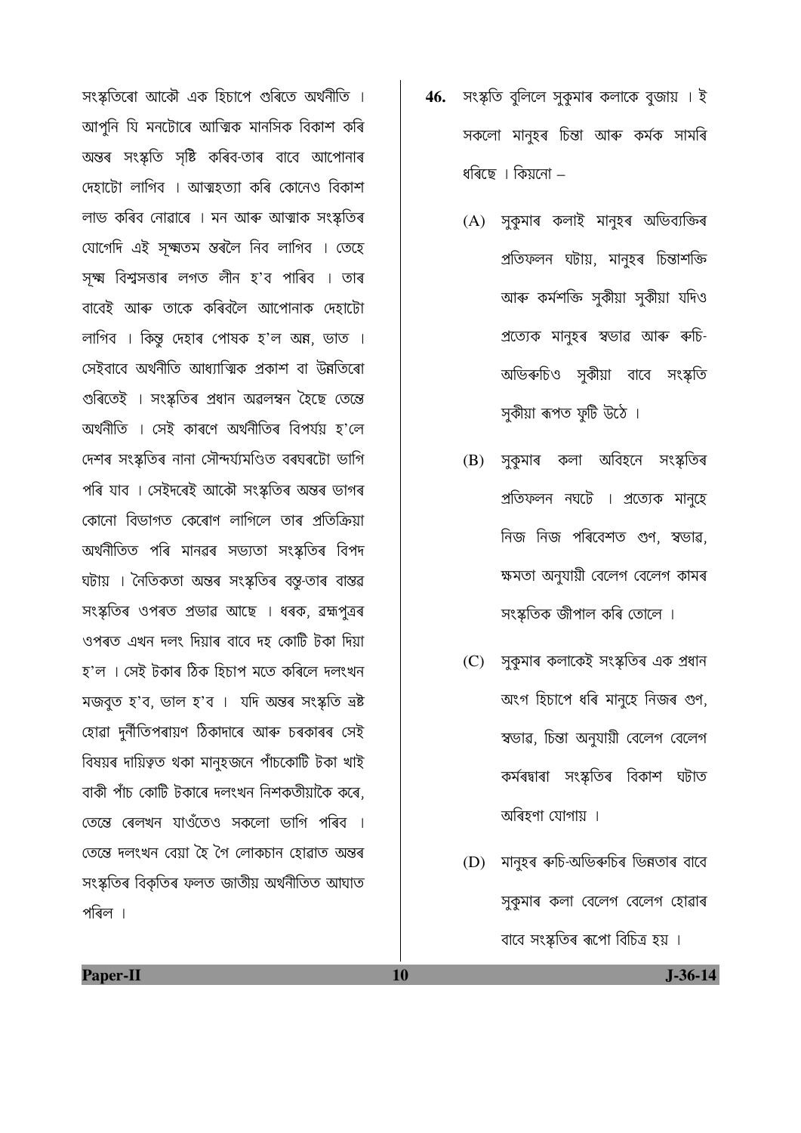সংস্কৃতিৰো আকৌ এক হিচাপে গুৰিতে অৰ্থনীতি । আপুনি যি মনটোৰে আত্মিক মানসিক বিকাশ কৰি অন্তৰ সংস্কৃতি সৃষ্টি কৰিব-তাৰ বাবে আপোনাৰ দেহাটো লাগিব । আত্মহত্যা কৰি কোনেও বিকাশ লাভ কৰিব নোৱাৰে । মন আৰু আত্মাক সংস্কৃতিৰ যোগেদি এই সক্ষতম স্তৰলৈ নিব লাগিব । তেহে সক্ষ বিশ্বসত্তাৰ লগত লীন হ'ব পাৰিব । তাৰ বাবেই আৰু তাকে কৰিবলৈ আপোনাক দেহাটো লাগিব । কিন্তু দেহাৰ পোষক হ'ল অন্ন, ভাত । সেইবাবে অৰ্থনীতি আধ্যাত্মিক প্ৰকাশ বা উন্নতিৰো গুৰিতেই । সংস্কৃতিৰ প্ৰধান অৱলম্বন হৈছে তেন্তে অৰ্থনীতি । সেই কাৰণে অৰ্থনীতিৰ বিপৰ্যয় হ'লে দেশৰ সংস্কৃতিৰ নানা সৌন্দৰ্য্যমণ্ডিত বৰঘৰটো ভাগি পৰি যাব । সেইদৰেই আকৌ সংস্কৃতিৰ অন্তৰ ভাগৰ কোনো বিভাগত কেৰোণ লাগিলে তাৰ প্ৰতিক্ৰিয়া অৰ্থনীতিত পৰি মানৱৰ সভ্যতা সংস্কৃতিৰ বিপদ ঘটায় । নৈতিকতা অন্তৰ সংস্কৃতিৰ বন্ধু-তাৰ বাস্তৱ সংস্কৃতিৰ ওপৰত প্ৰভাৱ আছে । ধৰক, ৱহ্মপুত্ৰৰ ওপৰত এখন দলং দিয়াৰ বাবে দহ কোটি টকা দিয়া হ'ল । সেই টকাৰ ঠিক হিচাপ মতে কৰিলে দলংখন মজবৃত হ'ব, ভাল হ'ব । যদি অন্তৰ সংস্কৃতি ভ্ৰষ্ট হোৱা দুৰ্নীতিপৰায়ণ ঠিকাদাৰে আৰু চৰকাৰৰ সেই বিষয়ৰ দায়িত্বত থকা মানুহজনে পাঁচকোটি টকা খাই বাকী পাঁচ কোটি টকাৰে দলংখন নিশকতীয়াকৈ কৰে, তেন্তে ৰেলখন যাওঁতেও সকলো ভাগি পৰিব । তেন্তে দলংখন বেয়া হৈ গৈ লোকচান হোৱাত অন্তৰ সংস্কতিৰ বিকৃতিৰ ফলত জাতীয় অৰ্থনীতিত আঘাত পৰিল ।

- **46.** সংস্কৃতি বুলিলে সুকুমাৰ কলাকে বুজায় । ই সকলো মানুহৰ চিন্তা আৰু কৰ্মক সামৰি ধৰিছে । কিয়নো –
	- (A) সুকুমাৰ কলাই মানুহৰ অভিব্যক্তিৰ প্ৰতিফলন ঘটায়, মানুহৰ চিন্তাশক্তি আৰু কৰ্মশক্তি সুকীয়া সুকীয়া যদিও প্ৰত্যেক মানুহৰ স্বভাৱ আৰু ৰুচি-অভিৰুচিও সুকীয়া বাবে সংস্কৃতি সুকীয়া ৰূপত ফুটি উঠে ।
	- সুকুমাৰ কলা অবিহনে সংস্কৃতিৰ (B) প্রতিফলন নঘটে । প্রত্যেক মানুহে নিজ নিজ পৰিবেশত গুণ, স্বভাৱ<u>,</u> ক্ষমতা অনুযায়ী বেলেগ বেলেগ কামৰ সংস্কৃতিক জীপাল কৰি তোলে ।
	- (C) সুকুমাৰ কলাকেই সংস্কৃতিৰ এক প্ৰধান অংগ হিচাপে ধৰি মানুহে নিজৰ গুণ, স্বভাৱ, চিন্তা অনুযায়ী বেলেগ বেলেগ কৰ্মৰদ্বাৰা সংস্কৃতিৰ বিকাশ ঘটাত অৰিহণা যোগায় ।
	- (D) মানুহৰ ৰুচি-অভিৰুচিৰ ভিন্নতাৰ বাবে সুকুমাৰ কলা বেলেগ বেলেগ হোৱাৰ বাবে সংস্কৃতিৰ ৰূপো বিচিত্ৰ হয় ।

**Paper-II**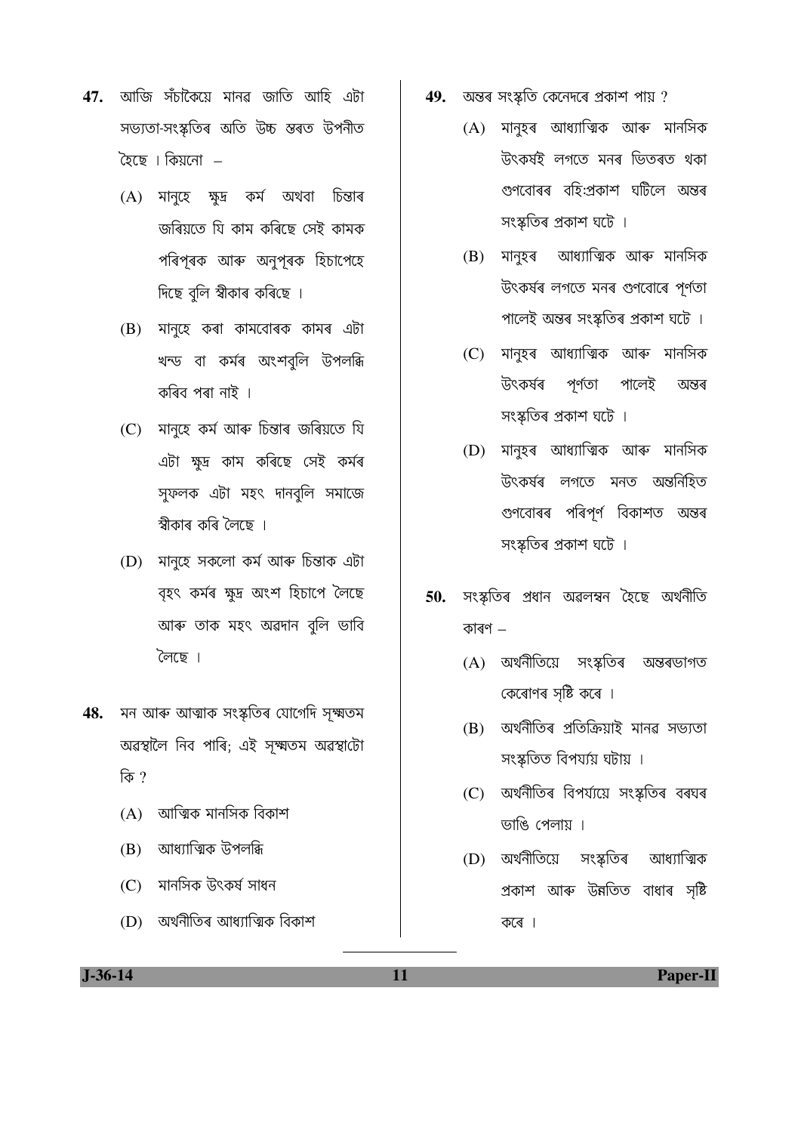- 47. আজি সঁচাকৈয়ে মানৱ জাতি আহি এটা সভ্যতা-সংস্কৃতিৰ অতি উচ্চ স্তৰত উপনীত হৈছে । কিয়নো –
	- (A) মানুহে ক্ষুদ্ৰ কৰ্ম অথবা চিন্তাৰ জৰিয়তে যি কাম কৰিছে সেই কামক পৰিপূৰক আৰু অনুপূৰক হিচাপেহে দিছে বুলি স্বীকাৰ কৰিছে ।
	- মানুহে কৰা কামবোৰক কামৰ এটা (B) খন্ড বা কৰ্মৰ অংশবুলি উপলব্ধি কৰিব পৰা নাই ।
	- (C) মানুহে কৰ্ম আৰু চিন্তাৰ জৰিয়তে যি এটা ক্ষুদ্ৰ কাম কৰিছে সেই কৰ্মৰ সফলক এটা মহৎ দানবলি সমাজে শ্বীকাৰ কৰি লৈছে ।
	- (D) মানহে সকলো কৰ্ম আৰু চিন্তাক এটা বৃহৎ কৰ্মৰ ক্ষুদ্ৰ অংশ হিচাপে লৈছে আৰু তাক মহৎ অৱদান বুলি ভাবি ৈছে ।
- মন আৰু আত্মাক সংস্কৃতিৰ যোগেদি সক্ষ্মতম 48. অৱস্থালৈ নিব পাৰি; এই সক্ষতম অৱস্থাটো কি ?
	- (A) আত্মিক মানসিক বিকাশ
	- (B) আধ্যাত্মিক উপলব্ধি
	- (C) মানসিক উৎকর্ষ সাধন
	- (D) অৰ্থনীতিৰ আধ্যাত্মিক বিকাশ
- অন্তৰ সংস্কতি কেনেদৰে প্ৰকাশ পায় ? 49.
	- মানুহৰ আধ্যাত্মিক আৰু মানসিক  $(A)$ উৎকৰ্ষই লগতে মনৰ ভিতৰত থকা গুণবোৰৰ বহি:প্ৰকাশ ঘটিলে অন্তৰ সংস্কৃতিৰ প্ৰকাশ ঘটে ।
	- মানুহৰ আধ্যাত্মিক আৰু মানসিক  $(B)$ উৎকৰ্ষৰ লগতে মনৰ গুণবোৰে পূৰ্ণতা পালেই অন্তৰ সংস্কৃতিৰ প্ৰকাশ ঘটে ।
	- মানুহৰ আধ্যাত্মিক আৰু মানসিক  $(C)$ উৎকৰ্ষৰ পূর্ণতা পালেই অন্তৰ সংস্কৃতিৰ প্ৰকাশ ঘটে ।
	- মানহৰ আধ্যাত্মিক আৰু মানসিক  $(D)$ উৎকৰ্ষৰ লগতে মনত অন্তৰ্নিহিত গুণবোৰৰ পৰিপূৰ্ণ বিকাশত অন্তৰ সংস্কৃতিৰ প্ৰকাশ ঘটে ।
- সংস্কতিৰ প্ৰধান অৱলম্বন হৈছে অৰ্থনীতি 50. কাৰণ –
	- (A) অৰ্থনীতিয়ে সংস্কৃতিৰ অন্তৰভাগত কেৰোণৰ সৃষ্টি কৰে ।
	- (B) অৰ্থনীতিৰ প্ৰতিক্ৰিয়াই মানৱ সভ্যতা সংস্কৃতিত বিপয়্য়ে ঘটায় ।
	- অৰ্থনীতিৰ বিপৰ্য্যয়ে সংস্কৃতিৰ বৰঘৰ  $(C)$ ভাঙি পেলায় ।
	- (D) অর্থনীতিয়ে সংস্কৃতিৰ আধ্যাত্মিক প্ৰকাশ আৰু উন্নতিত বাধাৰ সষ্টি কৰে ।

 $J - 36 - 14$ 

## Paper-II